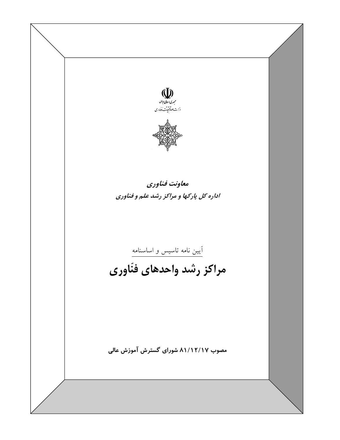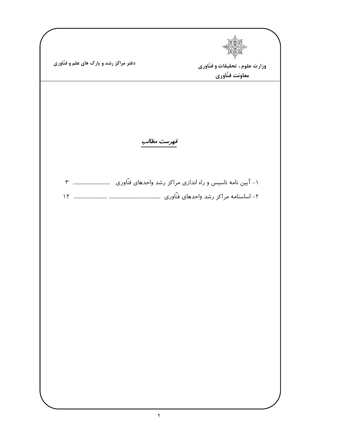| دفتر مراکز رشد و پارک های علم و فنّاوری | وزارت علوم ، تحقیقات و فنّاوری                                                                                |
|-----------------------------------------|---------------------------------------------------------------------------------------------------------------|
|                                         | معاونت فنّاوري                                                                                                |
|                                         | فهرست مطالب                                                                                                   |
| $\sum_{i=1}^{n}$                        | ١- آیین نامه تاسیس و راه اندازی مراکز رشد واحدهای فنّاوری سیسی است ٣<br>۲– اساسنامه مراکز رشد واحدهای فنّاوری |
|                                         |                                                                                                               |
|                                         |                                                                                                               |
|                                         |                                                                                                               |
|                                         |                                                                                                               |
|                                         |                                                                                                               |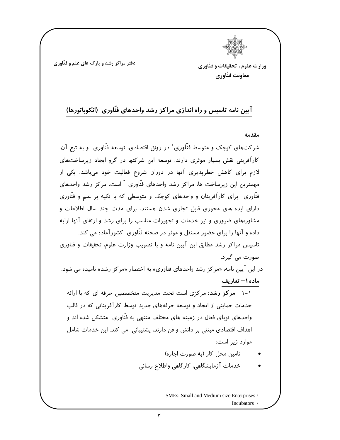وزارت علوم ، تحقيقات و فنّاوري معاونت فنّاوري

## آیین نامه تاسیس و راه اندازی مراکز رشد واحدهای فنّاوری (انکوباتورها)

مقدمه

شر *کت*های کوچک و متوسط فنّاوری ٰ در رونق اقتصادی، توسعه فنّاوری و به تبع آن، کارآفرینی نقش بسیار موثری دارند. توسعه این شرکتها در گرو ایجاد زیرساختهای لازم برای کاهش خطرپذیری آنها در دوران شروع فعالیت خود میباشد. یکی از مهمترین این زیرساخت ها، مراکز رشد واحدهای فنّاوری <sup>۲</sup> است. مرکز رشد واحدهای فنّاوری برای کارآفرینان و واحدهای کوچک و متوسطی که با تکیه بر علم و فنّاوری دارای ایده های محوری قابل تجاری شدن هستند، برای مدت چند سال اطلاعات و مشاورههای ضروری و نیز خدمات و تجهیزات مناسب را برای رشد و ارتقای آنها ارایه داده و آنها را برای حضور مستقل و موثر در صحنه فنّاوری کشورآماده می کند. تاسیس مراکز رشد مطابق این آیین نامه و با تصویب وزارت علوم، تحقیقات و فناوری صورت می گیرد. در این آیین نامه، «مرکز رشد واحدهای فناوری» به اختصار «مرکز رشد» نامیده می شود. ماده ۱ $-$  تعاریف ۱-۱ مرکز رشد: مرکزی است تحت مدیریت متخصصین حرفه ای که با ارائه خدمات حمایتی از ایجاد و توسعه حرفههای جدید توسط کارآفرینانی که در قالب واحدهای نوپای فعال در زمینه های مختلف منتهی به فنّاوری ِ متشکل شده اند و اهداف اقتصادی مبتنی بر دانش و فن دارند، پشتیبانی می کند. این خدمات شامل موارد زیر است: تامین محل کار (به صورت اجاره) خدمات آزمایشگاهی، کارگاهی واطلاع رسانی

> **SMEs: Small and Medium size Enterprises** Incubators \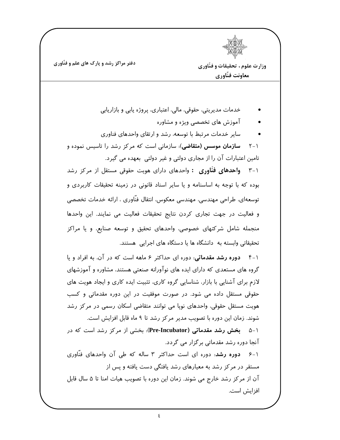وزارت علوم ، تحقيقات و فنّاوري معاونت فنّاوري خدمات مديريتي، حقوقي، مالي، اعتباري، پروژه پابي و بازاريابي آموزش های تخصصی ویژه و مشاوره سایر خدمات مرتبط با توسعه، رشد و ارتقای واحدهای فناوری **سازمان موسس (متقاضی**): سازمانی است که مرکز رشد را تاسیس نموده و  $Y - 1$ تامین اعتبارات آن را از مجاری دولتی و غیر دولتی بعهده می گیرد. **واحدهای فنّاوری :** واحدهای دارای هویت حقوقی مستقل از مرکز رشد  $\mathsf{r}-1$ بوده که با توجه به اساسنامه و یا سایر اسناد قانونی در زمینه تحقیقات کاربردی و توسعه|ي، طراحي مهندسي، مهندسي معكوس، انتقال فنَّاوري ، ارائه خدمات تخصصي و فعالیت در جهت تجاری کردن نتایج تحقیقات فعالیت می نمایند. این واحدها منجمله شامل شرکتهای خصوصی، واحدهای تحقیق و توسعه صنایع، و یا مراکز تحقیقاتی وابسته به دانشگاه ها یا دستگاه های اجرایی هستند.

۱-۴ دوره رشد مقدماتی: دوره ای حداکثر ۶ ماهه است که در آن، به افراد و یا گروه های مستعدی که دارای ایده های نوآورانه صنعتی هستند، مشاوره و آموزشهای لازم برای آشنایی با بازار، شناسایی گروه کاری، تثبیت ایده کاری و ایجاد هویت های حقوقی مستقل داده می شود. در صورت موفقیت در این دوره مقدماتی و کسب هویت مستقل حقوقی، واحدهای نوپا می توانند متقاضی اسکان رسمی در مرکز رشد شوند. زمان این دوره با تصویب مدیر مرکز رشد تا ۹ ماه قابل افزایش است. ۱-۵ بخش رشد مقدماتی (Pre-Incubator): بخشی از مرکز رشد است که در آنجا دوره رشد مقدماتی بر گزار می گردد. ۱–۶ **دوره رشد**: دوره ای است حداکثر ۳ ساله که طی آن واحدهای فنّاوری مستقر در مر کز رشد به معیارهای رشد یافتگی دست یافته و پس از آن از مرکز رشد خارج می شوند. زمان این دوره با تصویب هیات امنا تا ۵ سال قابل افزایش است.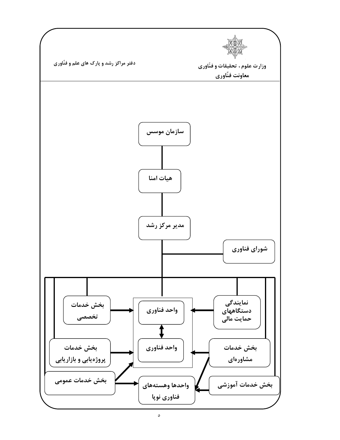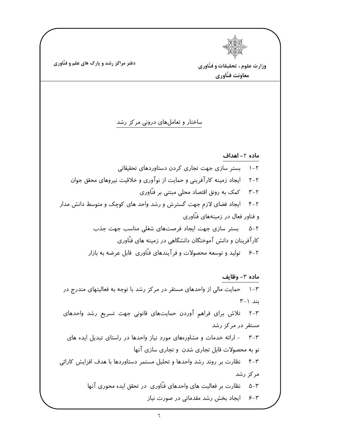وزارت علوم ، تحقیقات و فنّاوری معاونت فنّاوري ساختار و تعاملهای درونی مرکز رشد ماده ٢- اهداف بستر سازی جهت تجاری کردن دستاوردهای تحقیقاتی  $\lambda - \gamma$ ایجاد زمینه کارآفرینی و حمایت از نوآوری و خلاقیت نیروهای محقق جوان  $Y-Y$ کمک به رونق اقتصاد محلی مبتنی بر فنّاوری  $Y-Y$ ایجاد فضای لازم جهت گسترش و رشد واحد های کوچک و متوسط دانش مدار  $F - Y$ و فناور فعال در زمینههای فنّاوری ٢-۵ بستر سازى جهت ايجاد فرصتهاى شغلى مناسب جهت جذب کارآفرینان و دانش آموختگان دانشگاهی در زمینه های فنّاوری ۲-۶٪ تولید و توسعه محصولات و فرآیندهای فنّاوری قابل عرضه به بازار ماده ٣- وظايف حمایت مالی از واحدهای مستقر در مرکز رشد با توجه به فعالیتهای مندرج در  $\mathcal{N}-\mathcal{N}$  $Y-1$ بند ۱ ٣-٢ تلاش براى فراهم آوردن حمايتهاى قانونى جهت تسريع رشد واحدهاى مستقر در مرکز رشد ۳-۳ - ارائه خدمات و مشاورههای مورد نیاز واحدها در راستای تبدیل ایده های نو به محصولات قابل تجاری شدن و تجاری سازی آنها ۴-۳ نظارت بر روند رشد واحدها وتحليل مستمر دستاوردها با هدف افزايش كارائى مرکز رشد ۳–۵٪ نظارت بر فعالیت های واحدهای فنّاوری در تحقق ایده محوری آنها ۴-۶٪ ایجاد بخش رشد مقدماتی در صورت نیاز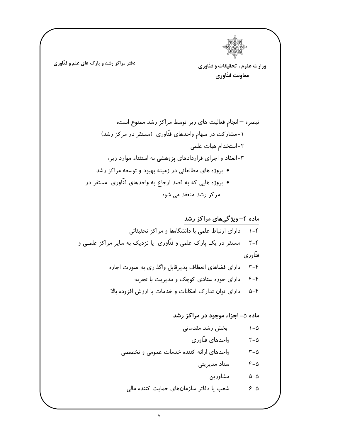$$
\begin{array}{c}\n\mathbf{1} \\
\mathbf{1} \\
\mathbf{1} \\
\mathbf{1} \\
\mathbf{1} \\
\mathbf{1} \\
\mathbf{1} \\
\mathbf{1} \\
\mathbf{1} \\
\mathbf{1} \\
\mathbf{1} \\
\mathbf{1} \\
\mathbf{1} \\
\mathbf{1} \\
\mathbf{1} \\
\mathbf{1} \\
\mathbf{1} \\
\mathbf{1} \\
\mathbf{1} \\
\mathbf{1} \\
\mathbf{1} \\
\mathbf{1} \\
\mathbf{1} \\
\mathbf{1} \\
\mathbf{1} \\
\mathbf{1} \\
\mathbf{1} \\
\mathbf{1} \\
\mathbf{1} \\
\mathbf{1} \\
\mathbf{1} \\
\mathbf{1} \\
\mathbf{1} \\
\mathbf{1} \\
\mathbf{1} \\
\mathbf{1} \\
\mathbf{1} \\
\mathbf{1} \\
\mathbf{1} \\
\mathbf{1} \\
\mathbf{1} \\
\mathbf{1} \\
\mathbf{1} \\
\mathbf{1} \\
\mathbf{1} \\
\mathbf{1} \\
\mathbf{1} \\
\mathbf{1} \\
\mathbf{1} \\
\mathbf{1} \\
\mathbf{1} \\
\mathbf{1} \\
\mathbf{1} \\
\mathbf{1} \\
\mathbf{1} \\
\mathbf{1} \\
\mathbf{1} \\
\mathbf{1} \\
\mathbf{1} \\
\mathbf{1} \\
\mathbf{1} \\
\mathbf{1} \\
\mathbf{1} \\
\mathbf{1} \\
\mathbf{1} \\
\mathbf{1} \\
\mathbf{1} \\
\mathbf{1} \\
\mathbf{1} \\
\mathbf{1} \\
\mathbf{1} \\
\mathbf{1} \\
\mathbf{1} \\
\mathbf{1} \\
\mathbf{1} \\
\mathbf{1} \\
\mathbf{1} \\
\mathbf{1} \\
\mathbf{1} \\
\mathbf{1} \\
\mathbf{1} \\
\mathbf{1} \\
\mathbf{1} \\
\mathbf{1} \\
\mathbf{1} \\
\mathbf{1} \\
\mathbf{1} \\
\mathbf{1} \\
\mathbf{1} \\
\mathbf{1} \\
\mathbf{1} \\
\mathbf{1} \\
\mathbf{1} \\
\mathbf{1} \\
\mathbf{1} \\
\mathbf{1} \\
\mathbf{1} \\
\mathbf{1} \\
\mathbf{1} \\
\mathbf{1} \\
\mathbf{1} \\
\mathbf{1} \\
\mathbf{1} \\
\mathbf{1} \\
\mathbf{1} \\
\mathbf{1} \\
\mathbf{1} \\
\mathbf
$$

وزارت علوم ، تحقیقات و فنّاوری معاونت فنّاوري

۵–۵ مشاورین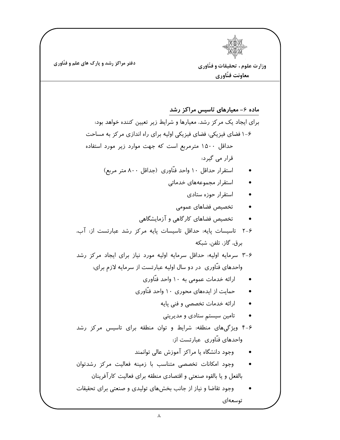دفتر مراکز رشد و پارک های علم و فنّاوری وزارت علوم ، تحقیقات و فنّاوری معاونت فنّاوري ماده ۶– معیارهای تاسیس مراکز رشد برای ایجاد یک مرکز رشد، معیارها و شرایط زیر تعیین کننده خواهد بود: ۶-۱ فضای فیزیکی: فضای فیزیکی اولیه برای راه اندازی مرکز به مساحت حداقل ۱۵۰۰ مترمربع است که جهت موارد زیر مورد استفاده قرار می گیرد: استقرار حداقل ۱۰ واحد فنّاوری (جداقل ۸۰۰ متر مربع) استقرار مجموعههای خدماتی استقرار حوزه ستادى  $\bullet$ تخصيص فضاهاى عمومى تخصیص فضاهای کارگاهی و آزمایشگاهی ۶-۲ تاسیسات پایه: حداقل تاسیسات پایه مرکز رشد عبارتست از: آب، برق، گاز، تلفن، شبکه ۶-۳ سرمایه اولیه: حداقل سرمایه اولیه مورد نیاز برای ایجاد مرکز رشد واحدهای فنّاوری ِ در دو سال اولیه عبارتست از سرمایه لازم برای: ارائه خدمات عمومی به ۱۰ واحد فنّاوری  $\bullet$ حمایت از ایدههای محوری ۱۰ واحد فنّاوری  $\bullet$ ارائه خدمات تخصصی و فنی پایه  $\bullet$ تامین سیستم ستادی و مدیریتی  $\bullet$ ۶-۴ ویژگیهای منطقه: شرایط و توان منطقه برای تاسیس مرکز رشد واحدهای فنّاوری عبارتست از. وجود دانشگاه یا مراکز آموزش عالی توانمند وجود امكانات تخصصى متناسب با زمينه فعاليت مركز رشدتوان بالفعل و یا بالقوه صنعتی و اقتصادی منطقه برای فعالیت کارآفرینان وجود تقاضا و نیاز از جانب بخشهای تولیدی و صنعتی برای تحقیقات توسعهای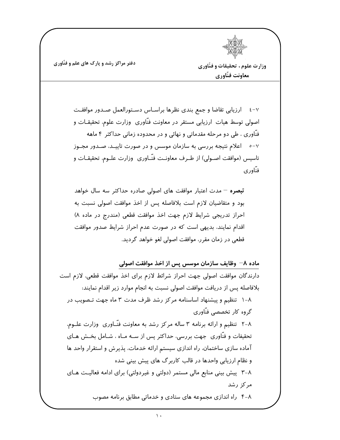

وزارت علوم ، تحقیقات و فنّاوری معاونت فنّاوري

٤-٢ أرزيابي تقاضا وجمع بندى نظرها براسـاس دسـتورالعمل صـدور موافقـت اصولی توسط هیات ارزیابی مستقر در معاونت فنّاوری وزارت علوم، تحقیقـات و فنّاوری ، طی دو مرحله مقدماتی و نهائی و در محدوده زمانی حداکثر ۴ ماهه ۷–۰٪ اعلام نتیجه بررسی به سازمان موسس و در صورت تاییــد، صــدور مجــوز تاسیس (موافقت اصـولی) از طـرف معاونـت فنّـاوری وزارت علـوم، تحقیقـات و فنّاوري

تبصره <sup>—</sup> مدت اعتبار موافقت های اصولی صادره حداکثر سه سال خواهد بود و متقاضیان لازم است بلافاصله پس از اخذ موافقت اصولی نسبت به احراز تدريجي شرايط لازم جهت اخذ موافقت قطعي (مندرج در ماده ٨) اقدام نمایند، بدیهی است که در صورت عدم احراز شرایط صدور موافقت قطعی در زمان مقرر، موافقت اصولی لغو خواهد گردید.

ماده ۸– وظایف سازمان موسس پس از اخذ موافقت اصولی دارندگان موافقت اصولی جهت احراز شرائط لازم برای اخذ موافقت قطعی، لازم است بلافاصله يس از دريافت موافقت اصولى نسبت به انجام موارد زير اقدام نمايند: ٨-١ تنظيم و پيشنهاد اساسنامه مركز رشد ظرف مدت ٣ ماه جهت تصويب در گروہ کار تخصصی فنّاوری ۸-۲ تنظیم و ارائه برنامه ۳ ساله مرکز رشد به معاونت فنّـاوری وزارت علـوم، تحقیفات و فنّاوری جهت بررسی، حداکثر پس از ســه مــاه ، شــامل بخــش هــای آماده سازی ساختمان، راه اندازی سیستم ارائه خدمات، پذیرش و استقرار واحد ها و نظام ارزیابی واحدها در قالب کاربرگ های پیش بینی شده ۸-۳ پیش بینی منابع مالی مستمر (دولتی و غیردولتی) برای ادامه فعالیت هـای مرکز رشد ۴-۸ راه اندازی مجموعه های ستادی و خدماتی مطابق برنامه مصوب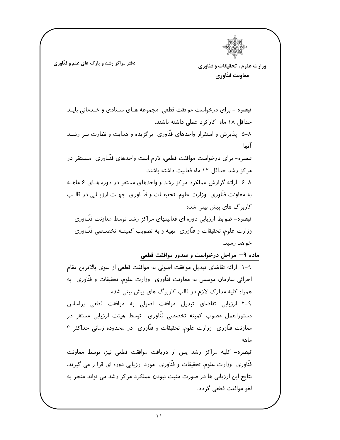وزارت علوم ، تحقيقات و فنّاوري معاونت فنّاوري

<mark>تبصره</mark> - برای درخواست موافقت قطعی، مجموعه هـای سـتادی و خــدماتی بایــد حداقل ۱۸ ماه کارکرد عملی داشته باشند. ۸−۵ یذیرش و استقرار واحدهای فنّاوری برگزیده و هدایت و نظارت بـر رشـد آنها تبصره– برای درخواست موافقت قطعی، لازم است واحدهای فنّـاوری ۖمـستقر در مر کز رشد حداقل ۱۲ ماه فعالیت داشته باشند. ۰۸–۶ ارائه گزارش عملکرد مرکز رشد و واحدهای مستقر در دوره های ۶ ماهـه به معاونت فنَّاوري ۖ وزارت علوم، تحقيقــات و فنَّــاوري ۖ جهــت ارزيــابي در قالــب کاربر گ های پیش بینی شده **تبصره**– ضوابط ارزیابی دوره ای فعالیتهای مراکز رشد توسط معاونت فنّـاوری وزارت علوم، تحقیقات و فنّاوری تهیه و به تصویب کمیتــه تخصـصی فنّــاوری خواهد رسيد.

ماده ۹– مراحل درخواست و صدور موافقت قطعی

۹–۱ ارائه تقاضای تبدیل موافقت اصولی به موافقت قطعی از سوی بالاترین مقام اجرائی سازمان موسس به معاونت فنّاوری وزارت علوم، تحقیقات و فنّاوری به همراه کلیه مدارک لازم در قالب کاربرگ های پیش بینی شده

٩-٢ ارزيابي تقاضاي تبديل موافقت اصولى به موافقت قطعى براساس دستورالعمل مصوب كميته تخصصي فنّاوري توسط هيئت ارزيابي مستقر در معاونت فنَّاوری وزارت علوم، تحقیقات و فنَّاوری در محدوده زمانی حداکثر ۴ ماهه

تبصره- کلیه مراکز رشد پس از دریافت موافقت قطعی نیز، توسط معاونت فنَّاوری ۖ وزارت علوم، تحقیقات و فنَّاوری ۖ مورد ارزیابی دوره ای قرا ر می گیرند، نتایج این ارزیابی ها در صورت مثبت نبودن عملکرد مرکز رشد می تواند منجر به لغو موافقت قطعي گردد.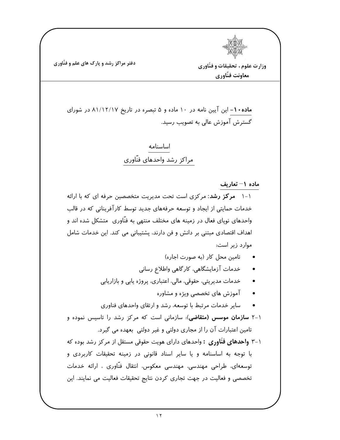وزارت علوم ، تحقیقات و فنّاوری معاونت فنّاوري

ماده ۱۰- این آیین نامه در ۱۰ ماده و ۵ تبصره در تاریخ ۸۱/۱۲/۱۷ در شورای گسترش آموزش عالی به تصویب رسید.

> اساسنامه مراكز رشد واحدهاى فنّاورى

> > ماده ۱– تعاریف

۱-۱ مرکز رشد: مرکزی است تحت مدیریت متخصصین حرفه ای که با ارائه خدمات حمایتی از ایجاد و توسعه حرفههای جدید توسط کارآفرینانی که در قالب واحدهای نوپای فعال در زمینه های مختلف منتهی به فنّاوری ِ متشکل شده اند و اهداف اقتصادی مبتنی بر دانش و فن دارند، پشتیبانی می کند. این خدمات شامل موارد زیر است:

- تامين محل كار (به صورت اجاره)
- خدمات آزمایشگاهی، کارگاهی واطلاع رسانی
- خدمات مديريتي، حقوقي، مالي، اعتباري، پروژه پايي و بازاريابي
	- آموزش های تخصصی ویژه و مشاوره
- سایر خدمات مرتبط با توسعه، رشد و ارتقای واحدهای فناوری

۱–۲ **سازمان موسس (متقاضی**): سازمانی است که مرکز رشد را تاسیس نموده و تامین اعتبارات آن را از مجاری دولتی و غیر دولتی بعهده می گیرد.

۱–۳ و**احدهای فنّاوری :** واحدهای دارای هویت حقوقی مستقل از مرکز رشد بوده که با توجه به اساسنامه و یا سایر اسناد قانونی در زمینه تحقیقات کاربردی و توسعهای، طراحی مهندسی، مهندسی معکوس، انتقال فنّاوری ، ارائه خدمات تخصصی و فعالیت در جهت تجاری کردن نتایج تحقیقات فعالیت می نمایند. این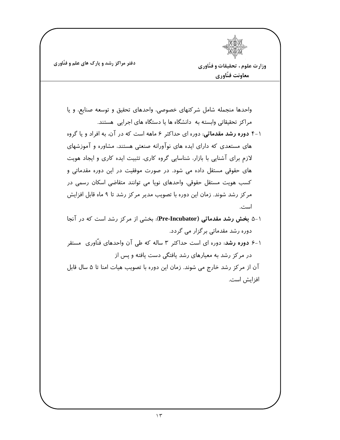وزارت علوم ، تحقيقات و فنّاوري معاونت فنّاوري

واحدها منجمله شامل شركتهاى خصوصى، واحدهاى تحقيق و توسعه صنايع، ويا مراکز تحقیقاتی وابسته به دانشگاه ها یا دستگاه های اجرایی هستند. ۱-۴ دوره رشد مقدماتی: دوره ای حداکثر ۶ ماهه است که در آن، به افراد و یا گروه های مستعدی که دارای ایده های نوآورانه صنعتی هستند، مشاوره و آموزشهای لازم برای آشنایی با بازار، شناسایی گروه کاری، تثبیت ایده کاری و ایجاد هویت های حقوقی مستقل داده می شود. در صورت موفقیت در این دوره مقدماتی و کسب هویت مستقل حقوقی، واحدهای نوپا می توانند متقاضی اسکان رسمی در مرکز رشد شوند. زمان این دوره با تصویب مدیر مرکز رشد تا ۹ ماه قابل افزایش است. ۱-۵ بخش رشد مقدماتی (Pre-Incubator): بخشی از مرکز رشد است که در آنجا دوره رشد مقدماتی بر گزار می گردد.

۱–۶ **دوره رشد**. دوره ای است حداکثر ۳ ساله که طی آن واحدهای فنّاوری مستقر در مرکز رشد به معیارهای رشد یافتگی دست یافته و پس از

آن از مرکز رشد خارج می شوند. زمان این دوره با تصویب هیات امنا تا ۵ سال قابل افزايش است.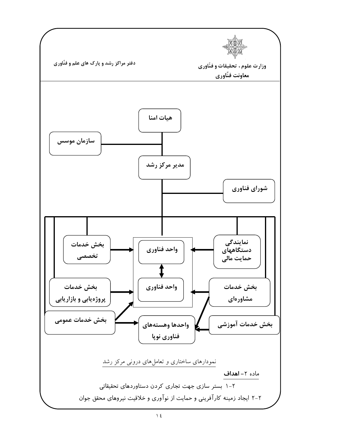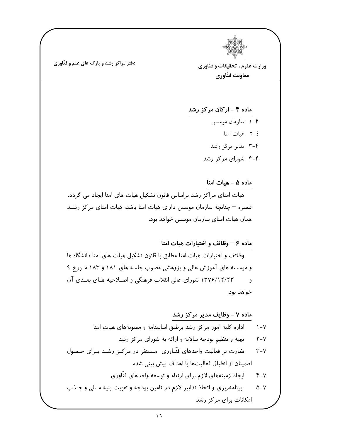وزارت علوم ، تحقيقات و فنّاوري معاونت فنّاوري

ماده ۴ - ارکان مرکز رشد ۴-۱ سازمان موسس ٢–٢ هيات امنا ۴-۳ مدیر مرکز رشد ۴-۴ شورای مرکز رشد

## ماده ۵ - هیات امنا

هیات امنای مراکز رشد براساس قانون تشکیل هیات های امنا ایجاد می گردد. تبصره – چنانچه سازمان موسس دارای هیات امنا باشد، هیات امنای مرکز رشـد همان هیات امنای سازمان موسس خواهد بود.

## ماده ۶ – وظائف و اختیارات هیات امنا

وظائف و اختیارات هیات امنا مطابق با قانون تشکیل هیات های امنا دانشگاه ها و موسسه های آموزش عالی و پژوهشی مصوب جلسه های ۱۸۱ و ۱۸۳ مـورخ ۹ ۱۳۷۶/۱۲/۲۳ شورای عالی انقلاب فرهنگی و اصلاحیه هـای بعـدی آن  $\overline{9}$ خواهد بود.

## ماده ۷ – وظایف مدیر مرکز رشد

اداره کلیه امور مرکز رشد برطبق اساسنامه و مصوبههای هیات امنا  $\lambda - \gamma$ تهیه و تنظیم بودجه سالانه و ارائه به شورای مرکز رشد  $Y-Y$ نظارت بر فعالیت واحدهای فنّـاوری مـستقر در مرکـز رشـد بـرای حـصول  $Y-Y$ اطمینان از انطباق فعالیتها با اهداف پیش بینی شده ایجاد زمینههای لازم برای ارتقاء و توسعه واحدهای فنّاوری  $Y-Y$ برنامه ریزی و اتخاذ تدابیر لازم در تامین بودجه و تقویت بنیه مـالی و جـذب  $\Delta - Y$ امکانات برای مرکز رشد